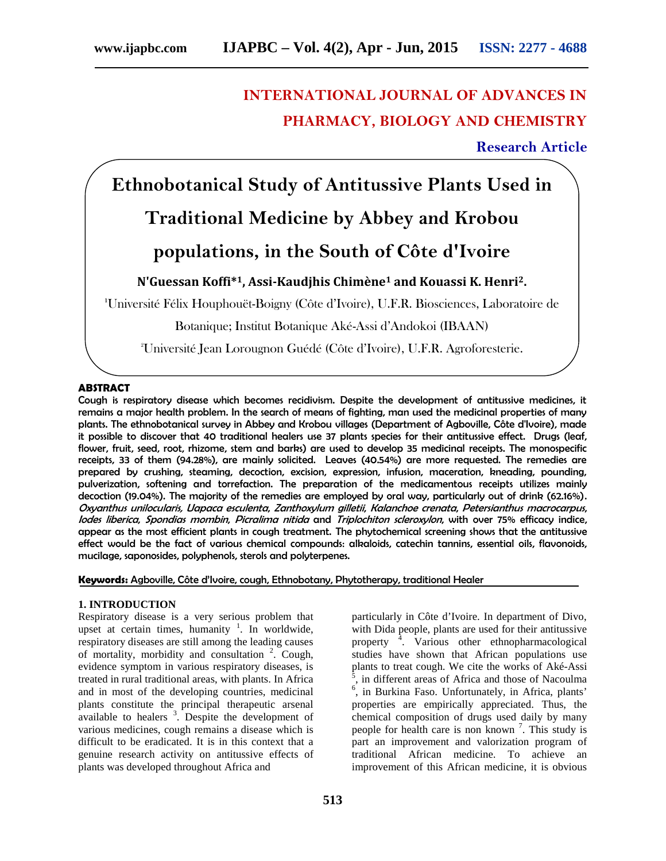# **INTERNATIONAL JOURNAL OF ADVANCES IN PHARMACY, BIOLOGY AND CHEMISTRY**

**Research Article**

**Ethnobotanical Study of Antitussive Plants Used in**

# **Traditional Medicine by Abbey and Krobou**

# **populations, in the South of Côte d'Ivoire**

# **N'Guessan Koffi\*1, Assi-Kaudjhis Chimène<sup>1</sup> and Kouassi K. Henri2.**

**<sup>1</sup>**Université Félix Houphouët-Boigny (Côte d'Ivoire), U.F.R. Biosciences, Laboratoire de

Botanique; Institut Botanique Aké-Assi d'Andokoi (IBAAN)

<sup>2</sup>Université Jean Lorougnon Guédé (Côte d'Ivoire), U.F.R. Agroforesterie.

# **ABSTRACT**

Cough is respiratory disease which becomes recidivism. Despite the development of antitussive medicines, it remains a major health problem. In the search of means of fighting, man used the medicinal properties of many plants. The ethnobotanical survey in Abbey and Krobou villages (Department of Agboville, Côte d'Ivoire), made it possible to discover that 40 traditional healers use 37 plants species for their antitussive effect. Drugs (leaf, flower, fruit, seed, root, rhizome, stem and barks) are used to develop 35 medicinal receipts. The monospecific receipts, 33 of them (94.28%), are mainly solicited. Leaves (40.54%) are more requested. The remedies are prepared by crushing, steaming, decoction, excision, expression, infusion, maceration, kneading, pounding, pulverization, softening and torrefaction. The preparation of the medicamentous receipts utilizes mainly decoction (19.04%). The majority of the remedies are employed by oral way, particularly out of drink (62.16%). *Oxyanthus unilocularis, Uapaca esculenta*, *Zanthoxylum gilletii*, *Kalanchoe crenata*, *Petersianthus macrocarpus*, *Iodes liberica*, *Spondias mombin*, *Picralima nitida* and *Triplochiton scleroxylon*, with over 75% efficacy indice, appear as the most efficient plants in cough treatment. The phytochemical screening shows that the antitussive effect would be the fact of various chemical compounds: alkaloids, catechin tannins, essential oils, flavonoids, mucilage, saponosides, polyphenols, sterols and polyterpenes.

**Keywords:** Agboville, Côte d'Ivoire, cough, Ethnobotany, Phytotherapy, traditional Healer

### **1. INTRODUCTION**

Respiratory disease is a very serious problem that upset at certain times, humanity  $\frac{1}{1}$ . In worldwide, respiratory diseases are still among the leading causes of mortality, morbidity and consultation <sup>2</sup>. Cough, evidence symptom in various respiratory diseases, is treated in rural traditional areas, with plants. In Africa and in most of the developing countries, medicinal plants constitute the principal therapeutic arsenal available to healers  $3$ . Despite the development of various medicines, cough remains a disease which is difficult to be eradicated. It is in this context that a genuine research activity on antitussive effects of plants was developed throughout Africa and

particularly in Côte d'Ivoire. In department of Divo, with Dida people, plants are used for their antitussive property<sup>4</sup>. Various other ethnopharmacological studies have shown that African populations use plants to treat cough. We cite the works of Aké-Assi <sup>5</sup> <sup>5</sup>, in different areas of Africa and those of Nacoulma<br><sup>6</sup>, in Burkina Faso. Unfortunately, in Africa, plants' properties are empirically appreciated. Thus, the chemical composition of drugs used daily by many people for health care is non known<sup>7</sup>. This study is part an improvement and valorization program of traditional African medicine. To achieve an improvement of this African medicine, it is obvious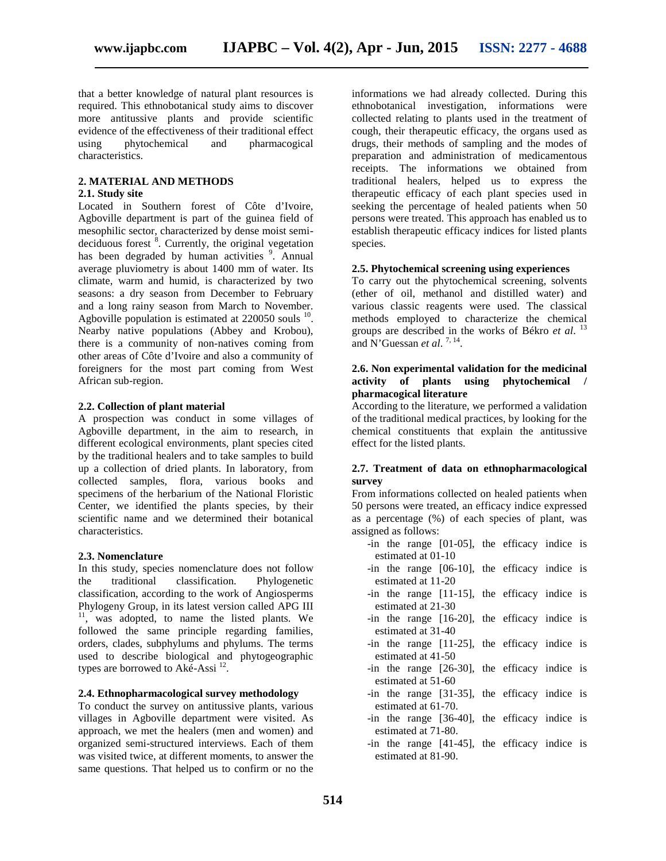that a better knowledge of natural plant resources is required. This ethnobotanical study aims to discover more antitussive plants and provide scientific evidence of the effectiveness of their traditional effect<br>using bytochemical and pharmacogical using phytochemical characteristics.

#### **2. MATERIAL AND METHODS**

# **2.1. Study site**

Located in Southern forest of Côte d'Ivoire, Agboville department is part of the guinea field of mesophilic sector, characterized by dense moist semi deciduous forest <sup>8</sup>. Currently, the original vegetation has been degraded by human activities <sup>9</sup>. Annual average pluviometry is about 1400 mm of water. Its climate, warm and humid, is characterized by two seasons: a dry season from December to February and a long rainy season from March to November. Agboville population is estimated at  $220050$  souls  $^{10}$ . Nearby native populations (Abbey and Krobou), there is a community of non-natives coming from other areas of Côte d'Ivoire and also a community of foreigners for the most part coming from West African sub-region.

#### **2.2. Collection of plant material**

A prospection was conduct in some villages of Agboville department, in the aim to research, in different ecological environments, plant species cited by the traditional healers and to take samples to build up a collection of dried plants. In laboratory, from collected samples, flora, various books and specimens of the herbarium of the National Floristic Center, we identified the plants species, by their scientific name and we determined their botanical characteristics.

#### **2.3. Nomenclature**

In this study, species nomenclature does not follow the traditional classification. Phylogenetic classification, according to the work of Angiosperms Phylogeny Group, in its latest version called APG III <sup>11</sup>, was adopted, to name the listed plants. We followed the same principle regarding families, orders, clades, subphylums and phylums. The terms used to describe biological and phytogeographic types are borrowed to Aké-Assi  $^{12}$ .

### **2.4. Ethnopharmacological survey methodology**

To conduct the survey on antitussive plants, various villages in Agboville department were visited. As approach, we met the healers (men and women) and organized semi-structured interviews. Each of them was visited twice, at different moments, to answer the same questions. That helped us to confirm or no the

informations we had already collected. During this ethnobotanical investigation, informations were collected relating to plants used in the treatment of cough, their therapeutic efficacy, the organs used as drugs, their methods of sampling and the modes of preparation and administration of medicamentous receipts. The informations we obtained from traditional healers, helped us to express the therapeutic efficacy of each plant species used in seeking the percentage of healed patients when 50 persons were treated. This approach has enabled us to establish therapeutic efficacy indices for listed plants species.

# **2.5. Phytochemical screening using experiences**

To carry out the phytochemical screening, solvents (ether of oil, methanol and distilled water) and various classic reagents were used. The classical methods employed to characterize the chemical groups are described in the works of Békro *et al*. <sup>13</sup> and N'Guessan *et al.*<sup>7, 14</sup>.

#### **2.6. Non experimental validation for the medicinal activity of plants using phytochemical / pharmacogical literature**

According to the literature, we performed a validation of the traditional medical practices, by looking for the chemical constituents that explain the antitussive effect for the listed plants.

#### **2.7. Treatment of data on ethnopharmacological survey**

From informations collected on healed patients when 50 persons were treated, an efficacy indice expressed as a percentage (%) of each species of plant, was assigned as follows:

- -in the range [01-05], the efficacy indice is estimated at 01-10
- -in the range [06-10], the efficacy indice is estimated at 11-20
- -in the range [11-15], the efficacy indice is estimated at 21-30
- -in the range [16-20], the efficacy indice is estimated at 31-40
- -in the range [11-25], the efficacy indice is estimated at 41-50
- -in the range [26-30], the efficacy indice is estimated at 51-60
- -in the range [31-35], the efficacy indice is estimated at 61-70.
- -in the range [36-40], the efficacy indice is estimated at 71-80.
- -in the range [41-45], the efficacy indice is estimated at 81-90.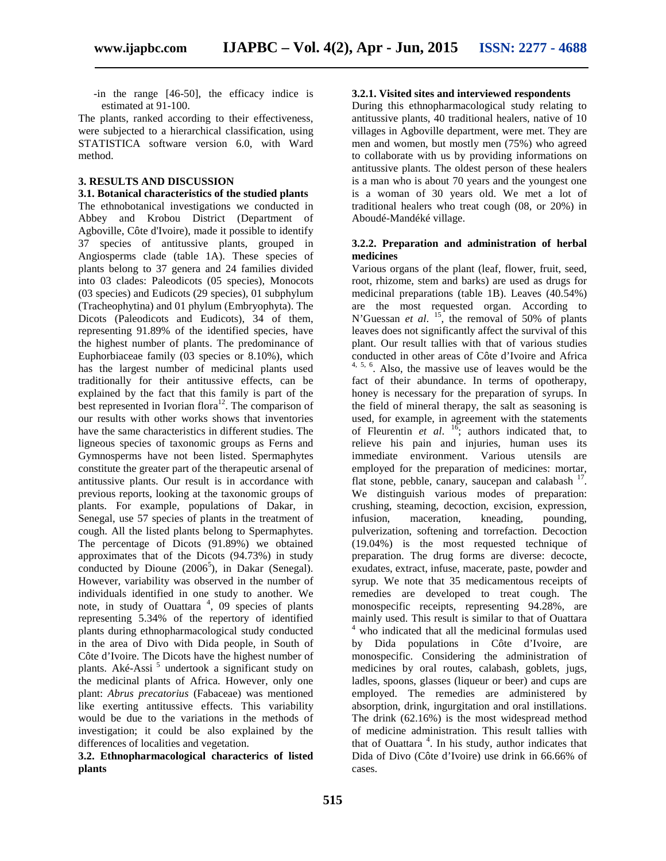-in the range [46-50], the efficacy indice is estimated at 91-100.

The plants, ranked according to their effectiveness, were subjected to a hierarchical classification, using STATISTICA software version 6.0, with Ward method.

#### **3. RESULTS AND DISCUSSION**

**3.1. Botanical characteristics of the studied plants** The ethnobotanical investigations we conducted in Abbey and Krobou District (Department of Agboville, Côte d'Ivoire), made it possible to identify 37 species of antitussive plants, grouped in Angiosperms clade (table 1A). These species of plants belong to 37 genera and 24 families divided into 03 clades: Paleodicots (05 species), Monocots (03 species) and Eudicots (29 species), 01 subphylum (Tracheophytina) and 01 phylum (Embryophyta). The Dicots (Paleodicots and Eudicots), 34 of them, representing 91.89% of the identified species, have the highest number of plants. The predominance of Euphorbiaceae family (03 species or 8.10%), which has the largest number of medicinal plants used traditionally for their antitussive effects, can be explained by the fact that this family is part of the best represented in Ivorian flora<sup>12</sup>. The comparison of our results with other works shows that inventories have the same characteristics in different studies. The ligneous species of taxonomic groups as Ferns and Gymnosperms have not been listed. Spermaphytes constitute the greater part of the therapeutic arsenal of antitussive plants. Our result is in accordance with previous reports, looking at the taxonomic groups of plants. For example, populations of Dakar, in Senegal, use 57 species of plants in the treatment of cough. All the listed plants belong to Spermaphytes. The percentage of Dicots (91.89%) we obtained approximates that of the Dicots (94.73%) in study conducted by Dioune  $(2006^5)$ , in Dakar (Senegal). However, variability was observed in the number of individuals identified in one study to another. We note, in study of Ouattara<sup>4</sup>, 09 species of plants representing 5.34% of the repertory of identified plants during ethnopharmacological study conducted in the area of Divo with Dida people, in South of Côte d'Ivoire. The Dicots have the highest number of plants. Aké-Assi<sup>5</sup> undertook a significant study on the medicinal plants of Africa. However, only one plant: *Abrus precatorius* (Fabaceae) was mentioned like exerting antitussive effects. This variability would be due to the variations in the methods of investigation; it could be also explained by the differences of localities and vegetation.

**3.2. Ethnopharmacological characterics of listed plants**

#### **3.2.1. Visited sites and interviewed respondents**

During this ethnopharmacological study relating to antitussive plants, 40 traditional healers, native of 10 villages in Agboville department, were met. They are men and women, but mostly men (75%) who agreed to collaborate with us by providing informations on antitussive plants. The oldest person of these healers is a man who is about 70 years and the youngest one is a woman of 30 years old. We met a lot of traditional healers who treat cough (08, or 20%) in Aboudé-Mandéké village.

#### **3.2.2. Preparation and administration of herbal medicines**

Various organs of the plant (leaf, flower, fruit, seed, root, rhizome, stem and barks) are used as drugs for medicinal preparations (table 1B). Leaves (40.54%) are the most requested organ. According to N'Guessan *et al.* <sup>15</sup>, the removal of 50% of plants leaves does not significantly affect the survival of this plant. Our result tallies with that of various studies conducted in other areas of Côte d'Ivoire and Africa  $4, 5, 6$ . Also, the massive use of leaves would be the fact of their abundance. In terms of opotherapy, honey is necessary for the preparation of syrups. In the field of mineral therapy, the salt as seasoning is used, for example, in agreement with the statements of Fleurentin  $et \ al.$   $\frac{16}{16}$ ; authors indicated that, to relieve his pain and injuries, human uses its immediate environment. Various utensils are employed for the preparation of medicines: mortar, flat stone, pebble, canary, saucepan and calabash  $17$ . We distinguish various modes of preparation: crushing, steaming, decoction, excision, expression, infusion, maceration, kneading, pounding, pulverization, softening and torrefaction. Decoction (19.04%) is the most requested technique of preparation. The drug forms are diverse: decocte, exudates, extract, infuse, macerate, paste, powder and syrup. We note that 35 medicamentous receipts of remedies are developed to treat cough. The monospecific receipts, representing 94.28%, are mainly used. This result is similar to that of Ouattara <sup>4</sup> who indicated that all the medicinal formulas used by Dida populations in Côte d'Ivoire, are monospecific. Considering the administration of medicines by oral routes, calabash, goblets, jugs, ladles, spoons, glasses (liqueur or beer) and cups are employed. The remedies are administered by absorption, drink, ingurgitation and oral instillations. The drink (62.16%) is the most widespread method of medicine administration. This result tallies with that of Ouattara<sup>4</sup>. In his study, author indicates that Dida of Divo (Côte d'Ivoire) use drink in 66.66% of cases.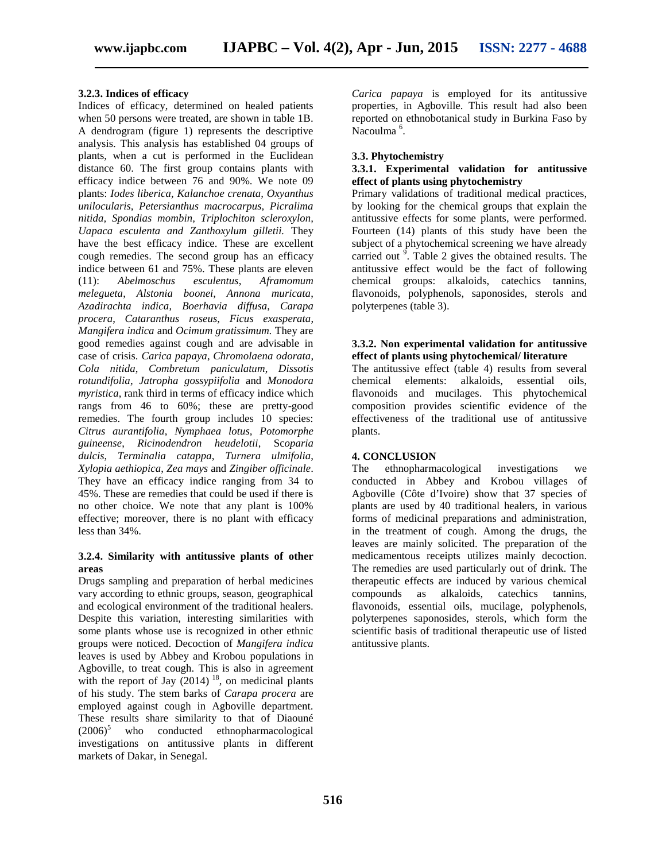### **3.2.3. Indices of efficacy**

Indices of efficacy, determined on healed patients when 50 persons were treated, are shown in table 1B. A dendrogram (figure 1) represents the descriptive analysis. This analysis has established 04 groups of plants, when a cut is performed in the Euclidean distance 60. The first group contains plants with efficacy indice between 76 and 90%. We note 09 plants: *Iodes liberica, Kalanchoe crenata, Oxyanthus unilocularis, Petersianthus macrocarpus, Picralima nitida, Spondias mombin, Triplochiton scleroxylon, Uapaca esculenta and Zanthoxylum gilletii.* They have the best efficacy indice. These are excellent cough remedies. The second group has an efficacy indice between 61 and 75%. These plants are eleven (11): *Abelmoschus esculentus*, *Aframomum melegueta*, *Alstonia boonei*, *Annona muricata*, *Azadirachta indica*, *Boerhavia diffusa*, *Carapa procera*, *Cataranthus roseus*, *Ficus exasperata*, *Mangifera indica* and *Ocimum gratissimum.* They are good remedies against cough and are advisable in case of crisis. *Carica papaya*, *Chromolaena odorata*, *Cola nitida*, *Combretum paniculatum*, *Dissotis rotundifolia*, *Jatropha gossypiifolia* and *Monodora myristica*, rank third in terms of efficacy indice which rangs from 46 to 60%; these are pretty-good remedies. The fourth group includes 10 species: *Citrus aurantifolia*, *Nymphaea lotus, Potomorphe guineense*, *Ricinodendron heudelotii*, Sc*oparia dulcis*, *Terminalia catappa*, *Turnera ulmifolia*, *Xylopia aethiopica*, *Zea mays* and *Zingiber officinale*. They have an efficacy indice ranging from 34 to 45%. These are remedies that could be used if there is no other choice. We note that any plant is 100% effective; moreover, there is no plant with efficacy less than 34%.

#### **3.2.4. Similarity with antitussive plants of other areas**

Drugs sampling and preparation of herbal medicines vary according to ethnic groups, season, geographical and ecological environment of the traditional healers. Despite this variation, interesting similarities with some plants whose use is recognized in other ethnic groups were noticed. Decoction of *Mangifera indica* leaves is used by Abbey and Krobou populations in Agboville, to treat cough. This is also in agreement with the report of Jay  $(2014)$  <sup>18</sup>, on medicinal plants of his study. The stem barks of *Carapa procera* are employed against cough in Agboville department. These results share similarity to that of Diaouné (2006) <sup>5</sup> who conducted ethnopharmacological investigations on antitussive plants in different markets of Dakar, in Senegal.

*Carica papaya* is employed for its antitussive properties, in Agboville. This result had also been reported on ethnobotanical study in Burkina Faso by Nacoulma<sup>6</sup>.

#### **3.3. Phytochemistry**

# **3.3.1. Experimental validation for antitussive effect of plants using phytochemistry**

Primary validations of traditional medical practices, by looking for the chemical groups that explain the antitussive effects for some plants, were performed. Fourteen (14) plants of this study have been the subject of a phytochemical screening we have already carried out  $\overline{9}$ . Table 2 gives the obtained results. The antitussive effect would be the fact of following chemical groups: alkaloids, catechics tannins, flavonoids, polyphenols, saponosides, sterols and polyterpenes (table 3).

#### **3.3.2. Non experimental validation for antitussive effect of plants using phytochemical/ literature**

The antitussive effect (table 4) results from several chemical elements: alkaloids, essential oils, flavonoids and mucilages. This phytochemical composition provides scientific evidence of the effectiveness of the traditional use of antitussive plants.

#### **4. CONCLUSION**

The ethnopharmacological investigations we conducted in Abbey and Krobou villages of Agboville (Côte d'Ivoire) show that 37 species of plants are used by 40 traditional healers, in various forms of medicinal preparations and administration, in the treatment of cough. Among the drugs, the leaves are mainly solicited. The preparation of the medicamentous receipts utilizes mainly decoction. The remedies are used particularly out of drink. The therapeutic effects are induced by various chemical compounds as alkaloids, catechics tannins, flavonoids, essential oils, mucilage, polyphenols, polyterpenes saponosides, sterols, which form the scientific basis of traditional therapeutic use of listed antitussive plants.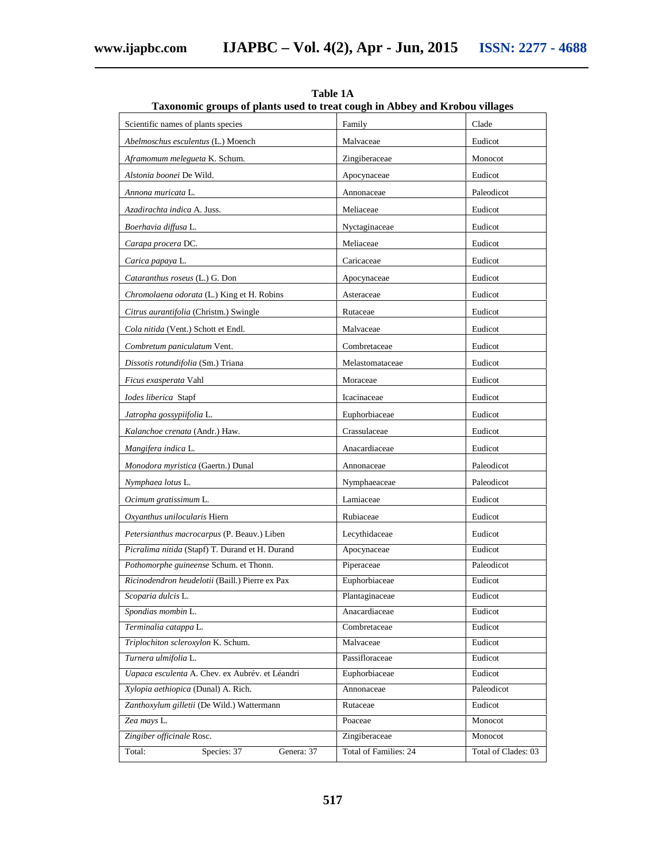| Scientific names of plants species<br>Clade<br>Family<br>Abelmoschus esculentus (L.) Moench<br>Malvaceae<br>Eudicot<br>Aframomum melegueta K. Schum.<br>Zingiberaceae<br>Monocot<br>Alstonia boonei De Wild.<br>Apocynaceae<br>Eudicot<br>Paleodicot<br>Annona muricata L.<br>Annonaceae<br>Azadirachta indica A. Juss.<br>Meliaceae<br>Eudicot<br>Boerhavia diffusa L.<br>Nyctaginaceae<br>Eudicot<br>Carapa procera DC.<br>Meliaceae<br>Eudicot<br>Carica papaya L.<br>Caricaceae<br>Eudicot<br>Cataranthus roseus (L.) G. Don<br>Eudicot<br>Apocynaceae<br>Chromolaena odorata (L.) King et H. Robins<br>Asteraceae<br>Eudicot<br>Citrus aurantifolia (Christm.) Swingle<br>Rutaceae<br>Eudicot<br>Eudicot<br>Cola nitida (Vent.) Schott et Endl.<br>Malvaceae<br>Combretum paniculatum Vent.<br>Combretaceae<br>Eudicot<br>Eudicot<br>Dissotis rotundifolia (Sm.) Triana<br>Melastomataceae<br>Ficus exasperata Vahl<br>Moraceae<br>Eudicot<br>Iodes liberica Stapf<br>Icacinaceae<br>Eudicot<br>Eudicot<br>Jatropha gossypiifolia L.<br>Euphorbiaceae<br>Crassulaceae<br>Kalanchoe crenata (Andr.) Haw.<br>Eudicot<br>Mangifera indica L.<br>Anacardiaceae<br>Eudicot<br>Monodora myristica (Gaertn.) Dunal<br>Paleodicot<br>Annonaceae<br>Nymphaea lotus L.<br>Paleodicot<br>Nymphaeaceae<br>Lamiaceae<br>Eudicot<br>Ocimum gratissimum L.<br>Oxyanthus unilocularis Hiern<br>Rubiaceae<br>Eudicot<br>Lecythidaceae<br>Eudicot<br>Petersianthus macrocarpus (P. Beauv.) Liben<br>Picralima nitida (Stapf) T. Durand et H. Durand<br>Apocynaceae<br>Eudicot<br>Piperaceae<br>Pothomorphe guineense Schum. et Thonn.<br>Paleodicot<br>Euphorbiaceae<br>Ricinodendron heudelotii (Baill.) Pierre ex Pax<br>Eudicot<br>Scoparia dulcis L.<br>Plantaginaceae<br>Eudicot<br>Spondias mombin L.<br>Anacardiaceae<br>Eudicot<br>Terminalia catappa L.<br>Combretaceae<br>Eudicot<br>Triplochiton scleroxylon K. Schum.<br>Eudicot<br>Malvaceae | Taxonomic groups of plants used to treat cough in Abbey and Krobou villages |  |  |  |  |  |  |
|----------------------------------------------------------------------------------------------------------------------------------------------------------------------------------------------------------------------------------------------------------------------------------------------------------------------------------------------------------------------------------------------------------------------------------------------------------------------------------------------------------------------------------------------------------------------------------------------------------------------------------------------------------------------------------------------------------------------------------------------------------------------------------------------------------------------------------------------------------------------------------------------------------------------------------------------------------------------------------------------------------------------------------------------------------------------------------------------------------------------------------------------------------------------------------------------------------------------------------------------------------------------------------------------------------------------------------------------------------------------------------------------------------------------------------------------------------------------------------------------------------------------------------------------------------------------------------------------------------------------------------------------------------------------------------------------------------------------------------------------------------------------------------------------------------------------------------------------------------------------------------------------------------------------------------------------|-----------------------------------------------------------------------------|--|--|--|--|--|--|
|                                                                                                                                                                                                                                                                                                                                                                                                                                                                                                                                                                                                                                                                                                                                                                                                                                                                                                                                                                                                                                                                                                                                                                                                                                                                                                                                                                                                                                                                                                                                                                                                                                                                                                                                                                                                                                                                                                                                              |                                                                             |  |  |  |  |  |  |
|                                                                                                                                                                                                                                                                                                                                                                                                                                                                                                                                                                                                                                                                                                                                                                                                                                                                                                                                                                                                                                                                                                                                                                                                                                                                                                                                                                                                                                                                                                                                                                                                                                                                                                                                                                                                                                                                                                                                              |                                                                             |  |  |  |  |  |  |
|                                                                                                                                                                                                                                                                                                                                                                                                                                                                                                                                                                                                                                                                                                                                                                                                                                                                                                                                                                                                                                                                                                                                                                                                                                                                                                                                                                                                                                                                                                                                                                                                                                                                                                                                                                                                                                                                                                                                              |                                                                             |  |  |  |  |  |  |
|                                                                                                                                                                                                                                                                                                                                                                                                                                                                                                                                                                                                                                                                                                                                                                                                                                                                                                                                                                                                                                                                                                                                                                                                                                                                                                                                                                                                                                                                                                                                                                                                                                                                                                                                                                                                                                                                                                                                              |                                                                             |  |  |  |  |  |  |
|                                                                                                                                                                                                                                                                                                                                                                                                                                                                                                                                                                                                                                                                                                                                                                                                                                                                                                                                                                                                                                                                                                                                                                                                                                                                                                                                                                                                                                                                                                                                                                                                                                                                                                                                                                                                                                                                                                                                              |                                                                             |  |  |  |  |  |  |
|                                                                                                                                                                                                                                                                                                                                                                                                                                                                                                                                                                                                                                                                                                                                                                                                                                                                                                                                                                                                                                                                                                                                                                                                                                                                                                                                                                                                                                                                                                                                                                                                                                                                                                                                                                                                                                                                                                                                              |                                                                             |  |  |  |  |  |  |
|                                                                                                                                                                                                                                                                                                                                                                                                                                                                                                                                                                                                                                                                                                                                                                                                                                                                                                                                                                                                                                                                                                                                                                                                                                                                                                                                                                                                                                                                                                                                                                                                                                                                                                                                                                                                                                                                                                                                              |                                                                             |  |  |  |  |  |  |
|                                                                                                                                                                                                                                                                                                                                                                                                                                                                                                                                                                                                                                                                                                                                                                                                                                                                                                                                                                                                                                                                                                                                                                                                                                                                                                                                                                                                                                                                                                                                                                                                                                                                                                                                                                                                                                                                                                                                              |                                                                             |  |  |  |  |  |  |
|                                                                                                                                                                                                                                                                                                                                                                                                                                                                                                                                                                                                                                                                                                                                                                                                                                                                                                                                                                                                                                                                                                                                                                                                                                                                                                                                                                                                                                                                                                                                                                                                                                                                                                                                                                                                                                                                                                                                              |                                                                             |  |  |  |  |  |  |
|                                                                                                                                                                                                                                                                                                                                                                                                                                                                                                                                                                                                                                                                                                                                                                                                                                                                                                                                                                                                                                                                                                                                                                                                                                                                                                                                                                                                                                                                                                                                                                                                                                                                                                                                                                                                                                                                                                                                              |                                                                             |  |  |  |  |  |  |
|                                                                                                                                                                                                                                                                                                                                                                                                                                                                                                                                                                                                                                                                                                                                                                                                                                                                                                                                                                                                                                                                                                                                                                                                                                                                                                                                                                                                                                                                                                                                                                                                                                                                                                                                                                                                                                                                                                                                              |                                                                             |  |  |  |  |  |  |
|                                                                                                                                                                                                                                                                                                                                                                                                                                                                                                                                                                                                                                                                                                                                                                                                                                                                                                                                                                                                                                                                                                                                                                                                                                                                                                                                                                                                                                                                                                                                                                                                                                                                                                                                                                                                                                                                                                                                              |                                                                             |  |  |  |  |  |  |
|                                                                                                                                                                                                                                                                                                                                                                                                                                                                                                                                                                                                                                                                                                                                                                                                                                                                                                                                                                                                                                                                                                                                                                                                                                                                                                                                                                                                                                                                                                                                                                                                                                                                                                                                                                                                                                                                                                                                              |                                                                             |  |  |  |  |  |  |
|                                                                                                                                                                                                                                                                                                                                                                                                                                                                                                                                                                                                                                                                                                                                                                                                                                                                                                                                                                                                                                                                                                                                                                                                                                                                                                                                                                                                                                                                                                                                                                                                                                                                                                                                                                                                                                                                                                                                              |                                                                             |  |  |  |  |  |  |
|                                                                                                                                                                                                                                                                                                                                                                                                                                                                                                                                                                                                                                                                                                                                                                                                                                                                                                                                                                                                                                                                                                                                                                                                                                                                                                                                                                                                                                                                                                                                                                                                                                                                                                                                                                                                                                                                                                                                              |                                                                             |  |  |  |  |  |  |
|                                                                                                                                                                                                                                                                                                                                                                                                                                                                                                                                                                                                                                                                                                                                                                                                                                                                                                                                                                                                                                                                                                                                                                                                                                                                                                                                                                                                                                                                                                                                                                                                                                                                                                                                                                                                                                                                                                                                              |                                                                             |  |  |  |  |  |  |
|                                                                                                                                                                                                                                                                                                                                                                                                                                                                                                                                                                                                                                                                                                                                                                                                                                                                                                                                                                                                                                                                                                                                                                                                                                                                                                                                                                                                                                                                                                                                                                                                                                                                                                                                                                                                                                                                                                                                              |                                                                             |  |  |  |  |  |  |
|                                                                                                                                                                                                                                                                                                                                                                                                                                                                                                                                                                                                                                                                                                                                                                                                                                                                                                                                                                                                                                                                                                                                                                                                                                                                                                                                                                                                                                                                                                                                                                                                                                                                                                                                                                                                                                                                                                                                              |                                                                             |  |  |  |  |  |  |
|                                                                                                                                                                                                                                                                                                                                                                                                                                                                                                                                                                                                                                                                                                                                                                                                                                                                                                                                                                                                                                                                                                                                                                                                                                                                                                                                                                                                                                                                                                                                                                                                                                                                                                                                                                                                                                                                                                                                              |                                                                             |  |  |  |  |  |  |
|                                                                                                                                                                                                                                                                                                                                                                                                                                                                                                                                                                                                                                                                                                                                                                                                                                                                                                                                                                                                                                                                                                                                                                                                                                                                                                                                                                                                                                                                                                                                                                                                                                                                                                                                                                                                                                                                                                                                              |                                                                             |  |  |  |  |  |  |
|                                                                                                                                                                                                                                                                                                                                                                                                                                                                                                                                                                                                                                                                                                                                                                                                                                                                                                                                                                                                                                                                                                                                                                                                                                                                                                                                                                                                                                                                                                                                                                                                                                                                                                                                                                                                                                                                                                                                              |                                                                             |  |  |  |  |  |  |
|                                                                                                                                                                                                                                                                                                                                                                                                                                                                                                                                                                                                                                                                                                                                                                                                                                                                                                                                                                                                                                                                                                                                                                                                                                                                                                                                                                                                                                                                                                                                                                                                                                                                                                                                                                                                                                                                                                                                              |                                                                             |  |  |  |  |  |  |
|                                                                                                                                                                                                                                                                                                                                                                                                                                                                                                                                                                                                                                                                                                                                                                                                                                                                                                                                                                                                                                                                                                                                                                                                                                                                                                                                                                                                                                                                                                                                                                                                                                                                                                                                                                                                                                                                                                                                              |                                                                             |  |  |  |  |  |  |
|                                                                                                                                                                                                                                                                                                                                                                                                                                                                                                                                                                                                                                                                                                                                                                                                                                                                                                                                                                                                                                                                                                                                                                                                                                                                                                                                                                                                                                                                                                                                                                                                                                                                                                                                                                                                                                                                                                                                              |                                                                             |  |  |  |  |  |  |
|                                                                                                                                                                                                                                                                                                                                                                                                                                                                                                                                                                                                                                                                                                                                                                                                                                                                                                                                                                                                                                                                                                                                                                                                                                                                                                                                                                                                                                                                                                                                                                                                                                                                                                                                                                                                                                                                                                                                              |                                                                             |  |  |  |  |  |  |
|                                                                                                                                                                                                                                                                                                                                                                                                                                                                                                                                                                                                                                                                                                                                                                                                                                                                                                                                                                                                                                                                                                                                                                                                                                                                                                                                                                                                                                                                                                                                                                                                                                                                                                                                                                                                                                                                                                                                              |                                                                             |  |  |  |  |  |  |
|                                                                                                                                                                                                                                                                                                                                                                                                                                                                                                                                                                                                                                                                                                                                                                                                                                                                                                                                                                                                                                                                                                                                                                                                                                                                                                                                                                                                                                                                                                                                                                                                                                                                                                                                                                                                                                                                                                                                              |                                                                             |  |  |  |  |  |  |
|                                                                                                                                                                                                                                                                                                                                                                                                                                                                                                                                                                                                                                                                                                                                                                                                                                                                                                                                                                                                                                                                                                                                                                                                                                                                                                                                                                                                                                                                                                                                                                                                                                                                                                                                                                                                                                                                                                                                              |                                                                             |  |  |  |  |  |  |
|                                                                                                                                                                                                                                                                                                                                                                                                                                                                                                                                                                                                                                                                                                                                                                                                                                                                                                                                                                                                                                                                                                                                                                                                                                                                                                                                                                                                                                                                                                                                                                                                                                                                                                                                                                                                                                                                                                                                              |                                                                             |  |  |  |  |  |  |
|                                                                                                                                                                                                                                                                                                                                                                                                                                                                                                                                                                                                                                                                                                                                                                                                                                                                                                                                                                                                                                                                                                                                                                                                                                                                                                                                                                                                                                                                                                                                                                                                                                                                                                                                                                                                                                                                                                                                              |                                                                             |  |  |  |  |  |  |
|                                                                                                                                                                                                                                                                                                                                                                                                                                                                                                                                                                                                                                                                                                                                                                                                                                                                                                                                                                                                                                                                                                                                                                                                                                                                                                                                                                                                                                                                                                                                                                                                                                                                                                                                                                                                                                                                                                                                              |                                                                             |  |  |  |  |  |  |
|                                                                                                                                                                                                                                                                                                                                                                                                                                                                                                                                                                                                                                                                                                                                                                                                                                                                                                                                                                                                                                                                                                                                                                                                                                                                                                                                                                                                                                                                                                                                                                                                                                                                                                                                                                                                                                                                                                                                              |                                                                             |  |  |  |  |  |  |
| Turnera ulmifolia L.<br>Passifloraceae<br>Eudicot                                                                                                                                                                                                                                                                                                                                                                                                                                                                                                                                                                                                                                                                                                                                                                                                                                                                                                                                                                                                                                                                                                                                                                                                                                                                                                                                                                                                                                                                                                                                                                                                                                                                                                                                                                                                                                                                                            |                                                                             |  |  |  |  |  |  |
| Uapaca esculenta A. Chev. ex Aubrév. et Léandri<br>Euphorbiaceae<br>Eudicot                                                                                                                                                                                                                                                                                                                                                                                                                                                                                                                                                                                                                                                                                                                                                                                                                                                                                                                                                                                                                                                                                                                                                                                                                                                                                                                                                                                                                                                                                                                                                                                                                                                                                                                                                                                                                                                                  |                                                                             |  |  |  |  |  |  |
| Xylopia aethiopica (Dunal) A. Rich.<br>Paleodicot<br>Annonaceae                                                                                                                                                                                                                                                                                                                                                                                                                                                                                                                                                                                                                                                                                                                                                                                                                                                                                                                                                                                                                                                                                                                                                                                                                                                                                                                                                                                                                                                                                                                                                                                                                                                                                                                                                                                                                                                                              |                                                                             |  |  |  |  |  |  |
| Zanthoxylum gilletii (De Wild.) Wattermann<br>Eudicot<br>Rutaceae<br>Zea mays L.<br>Poaceae<br>Monocot                                                                                                                                                                                                                                                                                                                                                                                                                                                                                                                                                                                                                                                                                                                                                                                                                                                                                                                                                                                                                                                                                                                                                                                                                                                                                                                                                                                                                                                                                                                                                                                                                                                                                                                                                                                                                                       |                                                                             |  |  |  |  |  |  |
| Zingiber officinale Rosc.<br>Zingiberaceae<br>Monocot                                                                                                                                                                                                                                                                                                                                                                                                                                                                                                                                                                                                                                                                                                                                                                                                                                                                                                                                                                                                                                                                                                                                                                                                                                                                                                                                                                                                                                                                                                                                                                                                                                                                                                                                                                                                                                                                                        |                                                                             |  |  |  |  |  |  |
| Total of Families: 24<br>Total:<br>Species: 37<br>Genera: 37<br>Total of Clades: 03                                                                                                                                                                                                                                                                                                                                                                                                                                                                                                                                                                                                                                                                                                                                                                                                                                                                                                                                                                                                                                                                                                                                                                                                                                                                                                                                                                                                                                                                                                                                                                                                                                                                                                                                                                                                                                                          |                                                                             |  |  |  |  |  |  |

**Table 1A**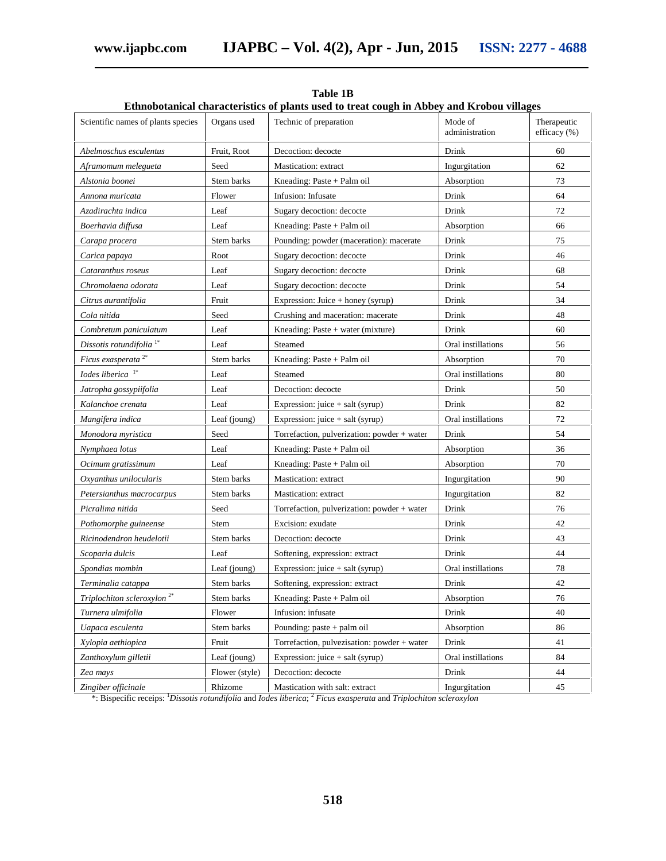| Scientific names of plants species     | Organs used    | Technic of preparation                            | Mode of<br>administration | Therapeutic<br>efficacy (%) |
|----------------------------------------|----------------|---------------------------------------------------|---------------------------|-----------------------------|
| Abelmoschus esculentus                 | Fruit, Root    | Decoction: decocte                                | Drink                     | 60                          |
| Aframomum melegueta                    | Seed           | Mastication: extract                              | Ingurgitation             | 62                          |
| Alstonia boonei                        | Stem barks     | Kneading: Paste $+$ Palm oil                      | Absorption                | 73                          |
| Annona muricata                        | Flower         | Infusion: Infusate                                | Drink                     | 64                          |
| Azadirachta indica                     | Leaf           | Sugary decoction: decocte                         | Drink                     | 72                          |
| Boerhavia diffusa                      | Leaf           | Kneading: Paste + Palm oil                        | Absorption                | 66                          |
| Carapa procera                         | Stem barks     | Pounding: powder (maceration): macerate           | Drink                     | 75                          |
| Carica papaya                          | Root           | Sugary decoction: decocte                         | Drink                     | 46                          |
| Cataranthus roseus                     | Leaf           | Sugary decoction: decocte                         | Drink                     | 68                          |
| Chromolaena odorata                    | Leaf           | Sugary decoction: decocte                         | Drink                     | 54                          |
| Citrus aurantifolia                    | Fruit          | Expression: Juice + honey (syrup)                 | Drink                     | 34                          |
| Cola nitida                            | Seed           | Crushing and maceration: macerate                 | Drink                     | 48                          |
| Combretum paniculatum                  | Leaf           | Kneading: Paste + water (mixture)                 | Drink                     | 60                          |
| Dissotis rotundifolia <sup>1*</sup>    | Leaf           | Steamed                                           | Oral instillations        | 56                          |
| Ficus exasperata <sup>2*</sup>         | Stem barks     | Kneading: Paste + Palm oil                        | Absorption                | 70                          |
| Iodes liberica <sup>1*</sup>           | Leaf           | Steamed                                           | Oral instillations        | 80                          |
| Jatropha gossypiifolia                 | Leaf           | Decoction: decocte                                | Drink                     | 50                          |
| Kalanchoe crenata                      | Leaf           | Expression: juice + salt (syrup)                  | Drink                     | 82                          |
| Mangifera indica                       | Leaf (joung)   | Expression: $i \text{uice} + \text{salt}$ (syrup) | Oral instillations        | 72                          |
| Monodora myristica                     | Seed           | Torrefaction, pulverization: powder + water       | Drink                     | 54                          |
| Nymphaea lotus                         | Leaf           | Kneading: Paste + Palm oil                        | Absorption                | 36                          |
| Ocimum gratissimum                     | Leaf           | Kneading: Paste + Palm oil                        | Absorption                | 70                          |
| Oxyanthus unilocularis                 | Stem barks     | Mastication: extract                              | Ingurgitation             | 90                          |
| Petersianthus macrocarpus              | Stem barks     | Mastication: extract                              | Ingurgitation             | 82                          |
| Picralima nitida                       | Seed           | Torrefaction, pulverization: powder + water       | Drink                     | 76                          |
| Pothomorphe guineense                  | Stem           | Excision: exudate                                 | Drink                     | 42                          |
| Ricinodendron heudelotii               | Stem barks     | Decoction: decocte                                | Drink                     | 43                          |
| Scoparia dulcis                        | Leaf           | Softening, expression: extract                    | Drink                     | 44                          |
| Spondias mombin                        | Leaf (joung)   | Expression: juice + salt (syrup)                  | Oral instillations        | 78                          |
| Terminalia catappa                     | Stem barks     | Softening, expression: extract                    | Drink                     | 42                          |
| Triplochiton scleroxylon <sup>2*</sup> | Stem barks     | Kneading: Paste + Palm oil                        | Absorption                | 76                          |
| Turnera ulmifolia                      | Flower         | Infusion: infusate                                | Drink                     | 40                          |
| Uapaca esculenta                       | Stem barks     | Pounding: paste + palm oil                        | Absorption                | 86                          |
| Xylopia aethiopica                     | Fruit          | Torrefaction, pulvezisation: powder + water       | Drink                     | 41                          |
| Zanthoxylum gilletii                   | Leaf (joung)   | Expression: $úce + salt (syrup)$                  | Oral instillations        | 84                          |
| Zea mays                               | Flower (style) | Decoction: decocte                                | Drink                     | 44                          |
| Zingiber officinale                    | Rhizome        | Mastication with salt: extract                    | Ingurgitation             | 45                          |

**Table 1B Ethnobotanical characteristics of plants used to treat cough in Abbey and Krobou villages**

\*: Bispecific receips: <sup>1</sup>*Dissotis rotundifolia* and *Iodes liberica*; <sup>2</sup> *Ficus exasperata* and *Triplochiton scleroxylon*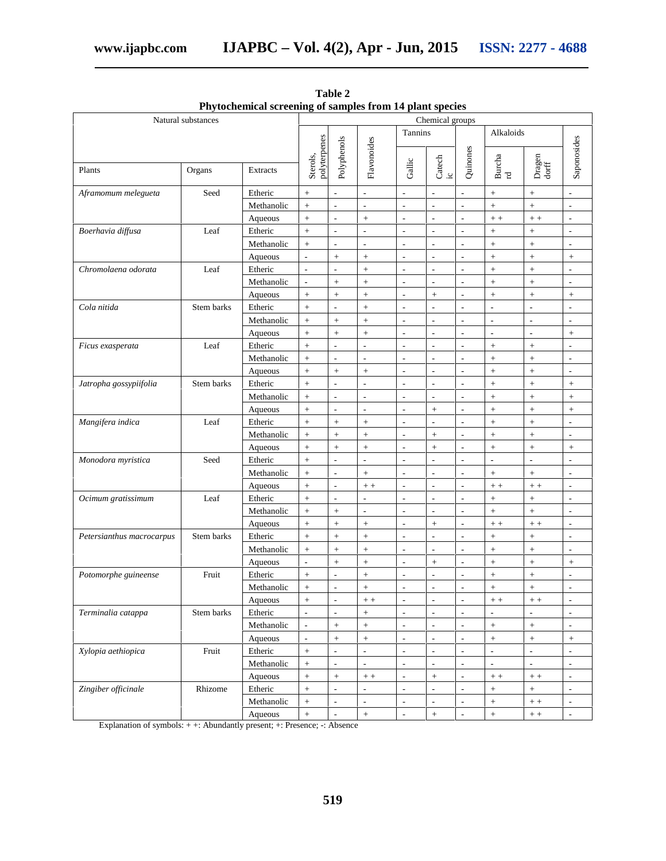|                           | Natural substances |                       |                          |                                            |                                              |                                            | Chemical groups                                      |                                           |                          |                          |                                           |
|---------------------------|--------------------|-----------------------|--------------------------|--------------------------------------------|----------------------------------------------|--------------------------------------------|------------------------------------------------------|-------------------------------------------|--------------------------|--------------------------|-------------------------------------------|
|                           |                    |                       |                          | Tannins                                    |                                              |                                            | Alkaloids                                            |                                           |                          |                          |                                           |
| Plants                    | Organs             | <b>Extracts</b>       | polyterpenes<br>Sterols, | Polyphenols                                | Flavonoides                                  | Gallic                                     | Catech $_{\rm ic}$                                   | Quinones                                  | ${\rm Burcha}$ rd        | Dragen<br>dorff          | Saponosides                               |
|                           | Seed               |                       |                          | $\overline{\phantom{a}}$                   | $\overline{\phantom{a}}$                     |                                            | $\overline{\phantom{a}}$                             | L,                                        |                          |                          | $\frac{1}{2}$                             |
| Aframomum melegueta       |                    | Etheric<br>Methanolic | $\ddot{}$<br>$\ddot{}$   | $\overline{a}$                             | $\frac{1}{2}$                                | $\overline{\phantom{a}}$<br>$\overline{a}$ | $\overline{a}$                                       | $\overline{a}$                            | $\! +$                   | $\! + \!\!\!\!$          | L,                                        |
|                           |                    |                       |                          |                                            |                                              |                                            | $\overline{\phantom{a}}$                             |                                           | $^{+}$                   | $^{+}$                   |                                           |
|                           | Leaf               | Aqueous               | $^{+}$                   | $\blacksquare$<br>$\overline{\phantom{a}}$ | $\boldsymbol{+}$<br>$\overline{\phantom{a}}$ | $\overline{\phantom{a}}$<br>L,             | $\overline{\phantom{a}}$                             | $\overline{\phantom{a}}$<br>$\frac{1}{2}$ | $\, +$ $\, +$            | $\,+\,$ + $\,$           | $\overline{\phantom{a}}$<br>$\frac{1}{2}$ |
| Boerhavia diffusa         |                    | Etheric<br>Methanolic | $^{+}$                   | $\overline{\phantom{a}}$                   | $\frac{1}{2}$                                | L,                                         | $\frac{1}{2}$                                        | L,                                        |                          | $\! +$                   | L,                                        |
|                           |                    |                       | $^{+}$                   |                                            |                                              |                                            |                                                      |                                           |                          | $\boldsymbol{+}$         |                                           |
| Chromolaena odorata       | Leaf               | Aqueous<br>Etheric    | $\overline{a}$<br>L,     | $\ddot{}$<br>L,                            | $^{+}$                                       | $\overline{a}$<br>$\overline{a}$           | $\overline{\phantom{a}}$<br>$\overline{\phantom{a}}$ | $\overline{a}$<br>L,                      | $\boldsymbol{+}$         | $\boldsymbol{+}$<br>$+$  | $\qquad \qquad +$<br>$\overline{a}$       |
|                           |                    | Methanolic            | L,                       |                                            | $^{+}$                                       | L,                                         | $\overline{a}$                                       | L,                                        | $\ddot{}$                |                          | $\overline{a}$                            |
|                           |                    |                       |                          | $+$                                        | $^{+}$                                       |                                            |                                                      |                                           | $+$                      | $\ddot{}$                |                                           |
|                           |                    | Aqueous               | $^{+}$                   | $+$                                        | $^{+}$                                       | L,                                         | $^{+}$                                               | L,                                        | $\ddot{}$                | $^{+}$                   | $^{+}$                                    |
| Cola nitida               | Stem barks         | Etheric               | $^{+}$                   | J.                                         | $^{+}$                                       | L,                                         | $\overline{a}$                                       | $\overline{a}$                            | L,                       | L,                       | $\overline{a}$                            |
|                           |                    | Methanolic            | $^{+}$                   | $+$                                        | $+$                                          | L,                                         | $\overline{\phantom{a}}$                             | $\overline{a}$                            | L,                       | $\frac{1}{2}$            | L,                                        |
|                           |                    | Aqueous               | $^{+}$                   | $+$                                        | $^{+}$                                       | $\overline{a}$                             | $\overline{\phantom{a}}$                             | L,                                        | $\overline{a}$           | $\overline{a}$           | $^{+}$                                    |
| Ficus exasperata          | Leaf               | Etheric               | $\ddot{}$                | $\overline{a}$                             | L,                                           | $\overline{\phantom{a}}$                   | $\overline{\phantom{a}}$                             | $\overline{\phantom{a}}$                  | $\boldsymbol{+}$         | $^{+}$                   | $\overline{a}$                            |
|                           |                    | Methanolic            | $^{+}$                   | $\overline{\phantom{a}}$                   | $\overline{\phantom{a}}$                     | $\overline{\phantom{a}}$                   | $\overline{\phantom{a}}$                             | $\overline{a}$                            | $\! +$                   | $^{+}$                   | $\overline{a}$                            |
|                           |                    | Aqueous               | $^{+}$                   | $\ddot{\phantom{1}}$                       | $^{+}$                                       | $\overline{a}$                             | $\overline{\phantom{0}}$                             | $\overline{a}$                            | $\ddot{}$                | $^{+}$                   | $\overline{a}$                            |
| Jatropha gossypiifolia    | Stem barks         | Etheric               | $\ddot{}$                | $\overline{\phantom{a}}$                   | $\overline{\phantom{a}}$                     | $\overline{\phantom{a}}$                   | $\blacksquare$                                       | $\overline{\phantom{a}}$                  | $\boldsymbol{+}$         | $\boldsymbol{+}$         | $^{+}$                                    |
|                           |                    | Methanolic            | $^{+}$                   | $\overline{a}$                             | $\overline{\phantom{a}}$                     | $\overline{a}$                             | $\overline{a}$                                       | $\overline{\phantom{a}}$                  | $\ddot{}$                | $^{+}$                   | $^{+}$                                    |
|                           |                    | Aqueous               | $\ddot{}$                | $\overline{a}$                             | $\overline{a}$                               | $\overline{a}$                             | $^{+}$                                               | L,                                        | $\! +$                   | $^{+}$                   | $+$                                       |
| Mangifera indica          | Leaf               | Etheric               | $\ddot{}$                | $\boldsymbol{+}$                           | $^{+}$                                       | $\overline{a}$                             | $\overline{a}$                                       | L,                                        | $^{+}$                   | $^{+}$                   | $\overline{a}$                            |
|                           |                    | Methanolic            | $\ddot{}$                | $\! +$                                     | $\! + \!$                                    | $\overline{a}$                             | $^{+}$                                               | L,                                        | $\ddot{}$                | $^{+}$                   | $\overline{a}$                            |
|                           |                    | Aqueous               | $^{+}$                   | $\! +$                                     | $+$                                          | L,                                         | $^{+}$                                               | $\overline{a}$                            | $+$                      | $+$                      | $+$                                       |
| Monodora myristica        | Seed               | Etheric               | $^{+}$                   | $\overline{\phantom{a}}$                   | $\frac{1}{2}$                                | $\overline{a}$                             | $\overline{\phantom{a}}$                             | $\overline{a}$                            | $\overline{a}$           | $\frac{1}{2}$            | L,                                        |
|                           |                    | Methanolic            | $^{+}$                   | $\overline{\phantom{a}}$                   | $\boldsymbol{+}$                             | $\overline{\phantom{a}}$                   | $\blacksquare$                                       | $\overline{\phantom{a}}$                  | $\! + \!\!\!\!$          | $\boldsymbol{+}$         | $\overline{\phantom{a}}$                  |
|                           |                    | Aqueous               | $^{+}$                   | $\overline{\phantom{a}}$                   | $\,+\,$ + $\,$                               | L,                                         | $\overline{a}$                                       | $\overline{a}$                            | $+ +$                    | $+ +$                    | L,                                        |
| Ocimum gratissimum        | Leaf               | Etheric               | $^{+}$                   | $\overline{a}$                             | L,                                           | $\overline{a}$                             | L,                                                   | $\overline{a}$                            | $^{+}$                   | $\boldsymbol{+}$         | L,                                        |
|                           |                    | Methanolic            | $\ddot{}$                | $\boldsymbol{+}$                           | $\blacksquare$                               | $\overline{a}$                             | $\overline{\phantom{a}}$                             | $\overline{a}$                            | $\! +$                   | $\! +$                   | L,                                        |
|                           |                    | Aqueous               | $^{+}$                   | $\boldsymbol{+}$                           | $^{+}$                                       | $\overline{\phantom{a}}$                   | $\ddot{}$                                            | $\overline{a}$                            | $\,+\,$ + $\,$           | $+ +$                    | $\overline{a}$                            |
| Petersianthus macrocarpus | Stem barks         | Etheric               | $^{+}$                   | $\boldsymbol{+}$                           | $^{+}$                                       | ÷,                                         | $\overline{a}$                                       | L,                                        | $\qquad \qquad +$        | $\qquad \qquad +$        | $\overline{a}$                            |
|                           |                    | Methanolic            | $^{+}$                   | $+$                                        | $^{+}$                                       | ÷,                                         | $\overline{a}$                                       | L,                                        | $\ddot{}$                | $^{+}$                   | $\overline{a}$                            |
|                           |                    | Aqueous               | L,                       | $\ddot{}$                                  | $^{+}$                                       | $\overline{a}$                             | $\ddot{}$                                            | L,                                        | $\ddot{}$                | $^{+}$                   | $^{+}$                                    |
| Potomorphe guineense      | Fruit              | Etheric               | $^{+}$                   | $\overline{a}$                             | $^{+}$                                       | $\overline{a}$                             | $\overline{\phantom{a}}$                             | $\overline{a}$                            | $+$                      | $+$                      | L,                                        |
|                           |                    | Methanolic            | $^{+}$                   | $\overline{\phantom{a}}$                   | $^{+}$                                       | $\overline{\phantom{a}}$                   | $\blacksquare$                                       | $\overline{a}$                            | $+$                      | $^{+}$                   | L,                                        |
|                           |                    | Aqueous               | +                        | $\overline{\phantom{a}}$                   | $+ +$                                        | $\overline{\phantom{a}}$                   | $\overline{\phantom{a}}$                             | $\overline{\phantom{a}}$                  | $+ +$                    | $++$                     | $\overline{\phantom{a}}$                  |
| Terminalia catappa        | Stem barks         | Etheric               | $\frac{1}{2}$            | $\overline{a}$                             | $\! + \!$                                    | $\Box$                                     | $\overline{\phantom{a}}$                             | $\overline{\phantom{a}}$                  | $\overline{\phantom{a}}$ | $\overline{\phantom{a}}$ | $\overline{\phantom{a}}$                  |
|                           |                    | Methanolic            | $\overline{\phantom{a}}$ | $\pm$                                      | $\! +$                                       | $\blacksquare$                             | $\overline{\phantom{a}}$                             | $\blacksquare$                            | $\, +$                   | $\! +$                   | $\overline{\phantom{0}}$                  |
|                           |                    | Aqueous               | $\overline{\phantom{a}}$ | $\boldsymbol{+}$                           | $\boldsymbol{+}$                             | $\blacksquare$                             | $\blacksquare$                                       | $\Box$                                    | $\boldsymbol{+}$         | $\boldsymbol{+}$         | $\! +$                                    |
| Xylopia aethiopica        | Fruit              | Etheric               | $\ddot{}$                | $\overline{a}$                             | $\mathcal{L}^{\mathcal{A}}$                  | $\frac{1}{2}$                              | $\overline{a}$                                       | $\overline{\phantom{a}}$                  | $\overline{\phantom{a}}$ | ä,                       | $\overline{a}$                            |
|                           |                    | Methanolic            | $\ddot{}$                | $\overline{a}$                             | $\overline{a}$                               | $\overline{a}$                             | $\overline{a}$                                       | $\frac{1}{2}$                             | $\overline{\phantom{a}}$ | $\mathbb{L}$             | $\overline{a}$                            |
|                           |                    | Aqueous               | $\ddot{}$                | $\ddag$                                    | $\,+\,$ + $\,$                               | $\frac{1}{2}$                              | $\ddag$                                              | $\frac{1}{2}$                             | $\,+\,$ + $\,$           | $\; + \; +$              | $\overline{a}$                            |
| Zingiber officinale       | Rhizome            | Etheric               | $\ddot{}$                | $\overline{a}$                             | $\overline{a}$                               | $\overline{\phantom{a}}$                   | $\overline{a}$                                       | $\frac{1}{2}$                             | $\! +$                   | $\pm$                    | $\overline{a}$                            |
|                           |                    | Methanolic            | $\! + \!$                | $\overline{\phantom{a}}$                   | $\overline{\phantom{a}}$                     | $\Box$                                     | $\overline{\phantom{a}}$                             | $\overline{\phantom{a}}$                  | $\! +$                   | $\, +$ $\, +$            | $\frac{1}{2}$                             |
|                           |                    | Aqueous               | $\ddot{}$                | $\overline{\phantom{a}}$                   | $\boldsymbol{+}$                             | $\Box$                                     | $\! +$                                               | $\overline{\phantom{a}}$                  | $\! +$                   | $\,+\,$ $+$              | $\overline{\phantom{a}}$                  |

**Table 2 Phytochemical screening of samples from 14 plant species**

Explanation of symbols: + +: Abundantly present; +: Presence; -: Absence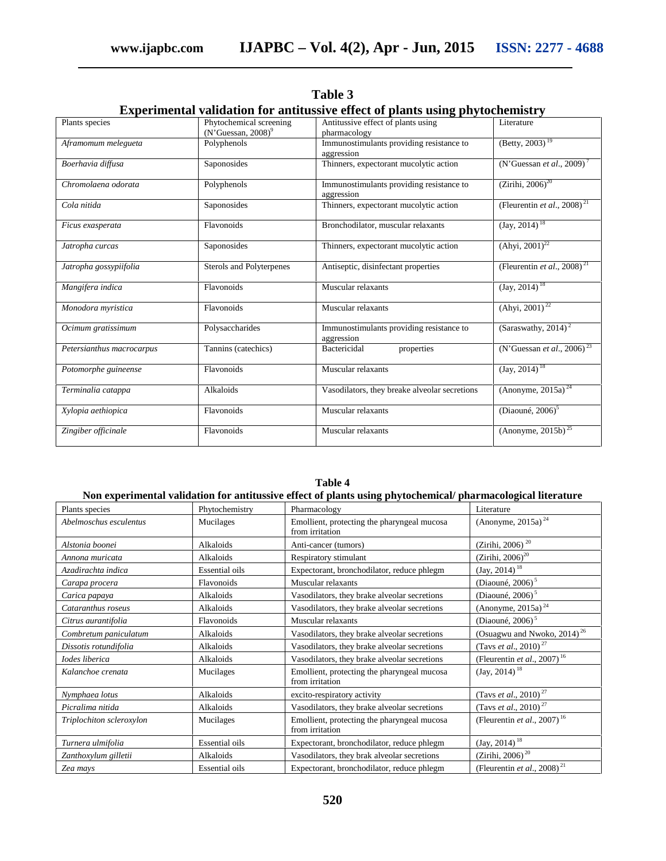| Plants species            | Phytochemical screening<br>(N'Guessan, 2008) <sup>9</sup> | Antitussive effect of plants using<br>pharmacology     | Literature                                   |  |  |
|---------------------------|-----------------------------------------------------------|--------------------------------------------------------|----------------------------------------------|--|--|
| Aframomum melegueta       | Polyphenols                                               | Immunostimulants providing resistance to<br>aggression | $(Betty, 2003)$ <sup>19</sup>                |  |  |
| Boerhavia diffusa         | Saponosides                                               | Thinners, expectorant mucolytic action                 | (N'Guessan et al., 2009) <sup>7</sup>        |  |  |
| Chromolaena odorata       | Polyphenols                                               | Immunostimulants providing resistance to<br>aggression | $(Zirihi, 2006)^{20}$                        |  |  |
| Cola nitida               | Saponosides                                               | Thinners, expectorant mucolytic action                 | (Fleurentin et al., $2008$ ) <sup>21</sup>   |  |  |
| Ficus exasperata          | Flavonoids                                                | Bronchodilator, muscular relaxants                     | $(Jay, 2014)^{18}$                           |  |  |
| Jatropha curcas           | Saponosides                                               | Thinners, expectorant mucolytic action                 | $(Ahyi, 2001)^{22}$                          |  |  |
| Jatropha gossypiifolia    | Sterols and Polyterpenes                                  | Antiseptic, disinfectant properties                    | (Fleurentin et al., 2008) <sup>21</sup>      |  |  |
| Mangifera indica          | Flavonoids                                                | Muscular relaxants                                     | $(Jay, 2014)^{18}$                           |  |  |
| Monodora myristica        | Flavonoids                                                | Muscular relaxants                                     | $(Ahyi, 2001)^{22}$                          |  |  |
| Ocimum gratissimum        | Polysaccharides                                           | Immunostimulants providing resistance to<br>aggression | (Saraswathy, $2014$ ) <sup>2</sup>           |  |  |
| Petersianthus macrocarpus | Tannins (catechics)                                       | Bactericidal<br>properties                             | (N'Guessan et al., 2006) <sup>23</sup>       |  |  |
| Potomorphe guineense      | Flavonoids                                                | Muscular relaxants                                     | $(Jay, 2014)^{18}$                           |  |  |
| Terminalia catappa        | Alkaloids                                                 | Vasodilators, they breake alveolar secretions          | (Anonyme, 2015a) <sup>24</sup>               |  |  |
| Xylopia aethiopica        | Flavonoids                                                | Muscular relaxants                                     | (Diaouné, 2006) $5$                          |  |  |
| Zingiber officinale       | Flavonoids                                                | Muscular relaxants                                     | (Anonyme, $201\overline{5b}$ ) <sup>25</sup> |  |  |

**Table 3 Experimental validation for antitussive effect of plants using phytochemistry**

| Non experimental validation for antitussive effect of plants using phytochemical/pharmacological literature |                       |                                                                |                                                 |  |  |  |
|-------------------------------------------------------------------------------------------------------------|-----------------------|----------------------------------------------------------------|-------------------------------------------------|--|--|--|
| Plants species                                                                                              | Phytochemistry        | Pharmacology                                                   | Literature                                      |  |  |  |
| Abelmoschus esculentus                                                                                      | Mucilages             | Emollient, protecting the pharyngeal mucosa<br>from irritation | (Anonyme, 2015a) <sup>24</sup>                  |  |  |  |
| Alstonia boonei                                                                                             | Alkaloids             | Anti-cancer (tumors)                                           | (Zirihi, 2006) <sup>20</sup>                    |  |  |  |
| Annona muricata                                                                                             | Alkaloids             | Respiratory stimulant                                          | $(Zirihi, 2006)^{20}$                           |  |  |  |
| Azadirachta indica                                                                                          | <b>Essential oils</b> | Expectorant, bronchodilator, reduce phlegm                     | $(Jay, 2014)^{18}$                              |  |  |  |
| Carapa procera                                                                                              | Flavonoids            | Muscular relaxants                                             | (Diaouné, 2006) <sup>5</sup>                    |  |  |  |
| Carica papaya                                                                                               | Alkaloids             | Vasodilators, they brake alveolar secretions                   | (Diaouné, 2006) $5$                             |  |  |  |
| Cataranthus roseus                                                                                          | Alkaloids             | Vasodilators, they brake alveolar secretions                   | (Anonyme, 2015a) <sup>24</sup>                  |  |  |  |
| Citrus aurantifolia                                                                                         | Flavonoids            | Muscular relaxants                                             | (Diaouné, 2006) $5$                             |  |  |  |
| Combretum paniculatum                                                                                       | Alkaloids             | Vasodilators, they brake alveolar secretions                   | (Osuagwu and Nwoko, 2014) <sup>26</sup>         |  |  |  |
| Dissotis rotundifolia                                                                                       | Alkaloids             | Vasodilators, they brake alveolar secretions                   | (Tavs <i>et al.</i> , 2010) <sup>27</sup>       |  |  |  |
| Iodes liberica                                                                                              | Alkaloids             | Vasodilators, they brake alveolar secretions                   | (Fleurentin et al., 2007) <sup>16</sup>         |  |  |  |
| Kalanchoe crenata                                                                                           | Mucilages             | Emollient, protecting the pharyngeal mucosa<br>from irritation | $(Jay, 2014)^{18}$                              |  |  |  |
| Nymphaea lotus                                                                                              | Alkaloids             | excito-respiratory activity                                    | (Tavs et al., 2010) <sup>27</sup>               |  |  |  |
| Picralima nitida                                                                                            | Alkaloids             | Vasodilators, they brake alveolar secretions                   | (Tavs et al., 2010) <sup>27</sup>               |  |  |  |
| Triplochiton scleroxylon                                                                                    | Mucilages             | Emollient, protecting the pharyngeal mucosa<br>from irritation | (Fleurentin <i>et al.</i> , 2007) <sup>16</sup> |  |  |  |
| Turnera ulmifolia                                                                                           | <b>Essential oils</b> | Expectorant, bronchodilator, reduce phlegm                     | $(Jay, 2014)^{18}$                              |  |  |  |
| Zanthoxylum gilletii                                                                                        | Alkaloids             | Vasodilators, they brak alveolar secretions                    | (Zirihi, 2006) <sup>20</sup>                    |  |  |  |
| Zea mays                                                                                                    | <b>Essential oils</b> | Expectorant, bronchodilator, reduce phlegm                     | (Fleurentin et al., 2008) <sup>21</sup>         |  |  |  |

**Table 4**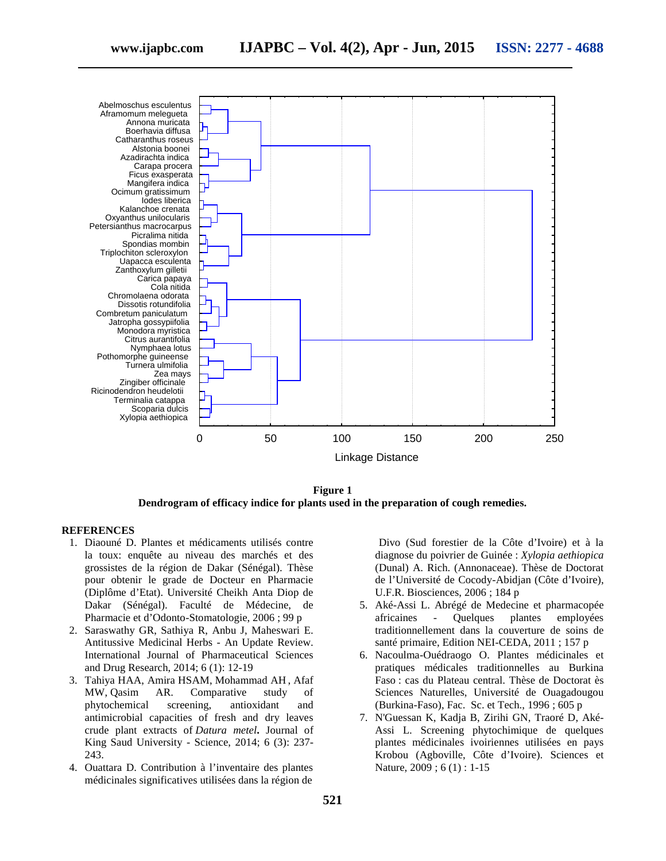

**Figure 1 Dendrogram of efficacy indice for plants used in the preparation of cough remedies.**

#### **REFERENCES**

- 1. Diaouné D. Plantes et médicaments utilisés contre la toux: enquête au niveau des marchés et des grossistes de la région de Dakar (Sénégal). Thèse pour obtenir le grade de Docteur en Pharmacie (Diplôme d'Etat). Université Cheikh Anta Diop de Dakar (Sénégal). Faculté de Médecine, de Pharmacie et d'Odonto-Stomatologie, 2006 ; 99 p
- 2. Saraswathy GR, Sathiya R, Anbu J, Maheswari E. Antitussive Medicinal Herbs - An Update Review. International Journal of Pharmaceutical Sciences and Drug Research, 2014; 6 (1): 12-19
- 3. Tahiya HAA, Amira HSAM, Mohammad AH , Afaf MW, Qasim AR. Comparative study of phytochemical screening, antioxidant and antimicrobial capacities of fresh and dry leaves crude plant extracts of *Datura metel***.** Journal of King Saud University - Science, 2014; 6 (3): 237- 243.
- 4. Ouattara D. Contribution à l'inventaire des plantes médicinales significatives utilisées dans la région de

Divo (Sud forestier de la Côte d'Ivoire) et à la diagnose du poivrier de Guinée : *Xylopia aethiopica* (Dunal) A. Rich. (Annonaceae). Thèse de Doctorat de l'Université de Cocody-Abidjan (Côte d'Ivoire), U.F.R. Biosciences, 2006 ; 184 p

- 5. Aké-Assi L. Abrégé de Medecine et pharmacopée africaines - Quelques plantes employées traditionnellement dans la couverture de soins de santé primaire, Edition NEI-CEDA, 2011 ; 157 p
- 6. Nacoulma-Ouédraogo O. Plantes médicinales et pratiques médicales traditionnelles au Burkina Faso : cas du Plateau central. Thèse de Doctorat ès Sciences Naturelles, Université de Ouagadougou (Burkina-Faso), Fac. Sc. et Tech., 1996 ; 605 p
- 7. N'Guessan K, Kadja B, Zirihi GN, Traoré D, Aké- Assi L. Screening phytochimique de quelques plantes médicinales ivoiriennes utilisées en pays Krobou (Agboville, Côte d'Ivoire). Sciences et Nature, 2009 ; 6 (1) : 1-15